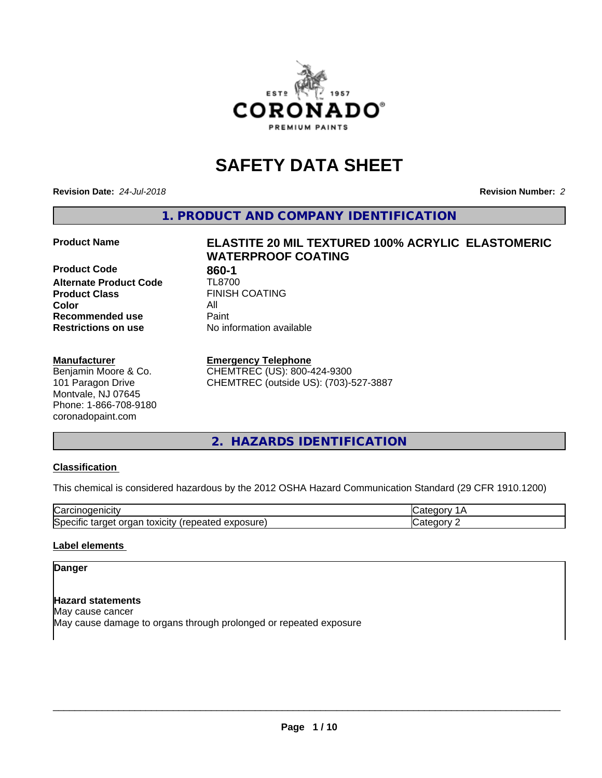

# **SAFETY DATA SHEET**

**Revision Date:** *24-Jul-2018* **Revision Number:** *2*

**1. PRODUCT AND COMPANY IDENTIFICATION**

#### **Product Name ELASTITE 20 MIL TEXTURED 100% ACRYLIC ELASTOMERIC**

**Product Code 860-1**<br>**Alternate Product Code TL8700 Alternate Product Code**<br>Product Class **Product Class** FINISH COATING<br> **Color Color** All **Recommended use** Paint **Restrictions on use** No information available

# **WATERPROOF COATING**

#### **Manufacturer**

Benjamin Moore & Co. 101 Paragon Drive Montvale, NJ 07645 Phone: 1-866-708-9180 coronadopaint.com

#### **Emergency Telephone**

CHEMTREC (US): 800-424-9300 CHEMTREC (outside US): (703)-527-3887

# **2. HAZARDS IDENTIFICATION**

#### **Classification**

This chemical is considered hazardous by the 2012 OSHA Hazard Communication Standard (29 CFR 1910.1200)

| ∽<br>- -<br>'تان.<br>нсн                                                   |  |
|----------------------------------------------------------------------------|--|
| nsure<br>OXICITY<br>iSDE<br>лаг<br>्र तαा0∺' ∶<br>лно<br>. <i>.</i> .<br>. |  |

#### **Label elements**

### **Danger**

**Hazard statements** May cause cancer May cause damage to organs through prolonged or repeated exposure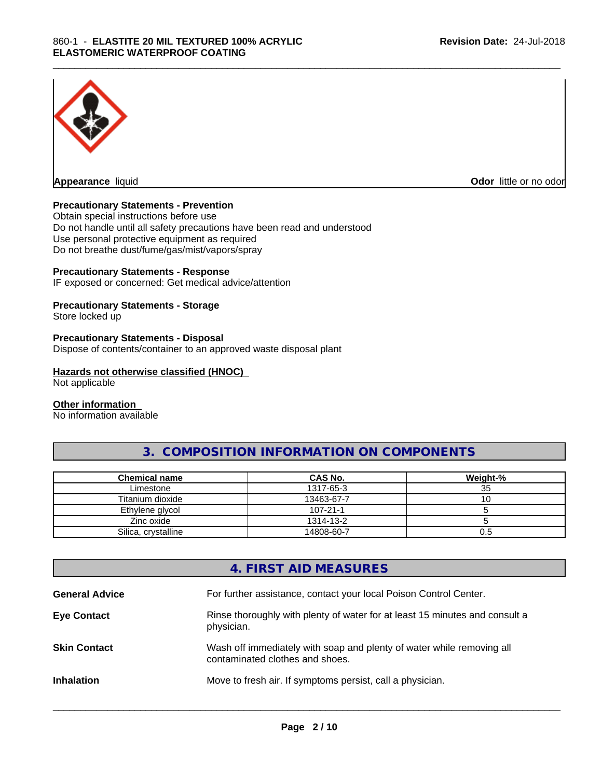

**Appearance** liquid **Odor in the original of the original of the original of the original of the original of the original of the original of the original of the original of the original of the original of the original of t** 

#### **Precautionary Statements - Prevention**

Obtain special instructions before use Do not handle until all safety precautions have been read and understood Use personal protective equipment as required Do not breathe dust/fume/gas/mist/vapors/spray

#### **Precautionary Statements - Response**

IF exposed or concerned: Get medical advice/attention

# **Precautionary Statements - Storage**

Store locked up

#### **Precautionary Statements - Disposal**

Dispose of contents/container to an approved waste disposal plant

#### **Hazards not otherwise classified (HNOC)**

Not applicable

#### **Other information**

No information available

# **3. COMPOSITION INFORMATION ON COMPONENTS**

\_\_\_\_\_\_\_\_\_\_\_\_\_\_\_\_\_\_\_\_\_\_\_\_\_\_\_\_\_\_\_\_\_\_\_\_\_\_\_\_\_\_\_\_\_\_\_\_\_\_\_\_\_\_\_\_\_\_\_\_\_\_\_\_\_\_\_\_\_\_\_\_\_\_\_\_\_\_\_\_\_\_\_\_\_\_\_\_\_\_\_\_\_

| Chemical name       | CAS No.        | Weight-% |
|---------------------|----------------|----------|
| Limestone           | 1317-65-3      | 35       |
| Titanium dioxide    | 13463-67-7     | ∣∪       |
| Ethylene glycol     | $107 - 21 - 1$ |          |
| Zinc oxide          | 1314-13-2      |          |
| Silica, crystalline | 14808-60-7     | U.ʻJ     |

# **4. FIRST AID MEASURES**

| <b>General Advice</b> | For further assistance, contact your local Poison Control Center.                                        |
|-----------------------|----------------------------------------------------------------------------------------------------------|
| <b>Eye Contact</b>    | Rinse thoroughly with plenty of water for at least 15 minutes and consult a<br>physician.                |
| <b>Skin Contact</b>   | Wash off immediately with soap and plenty of water while removing all<br>contaminated clothes and shoes. |
| <b>Inhalation</b>     | Move to fresh air. If symptoms persist, call a physician.                                                |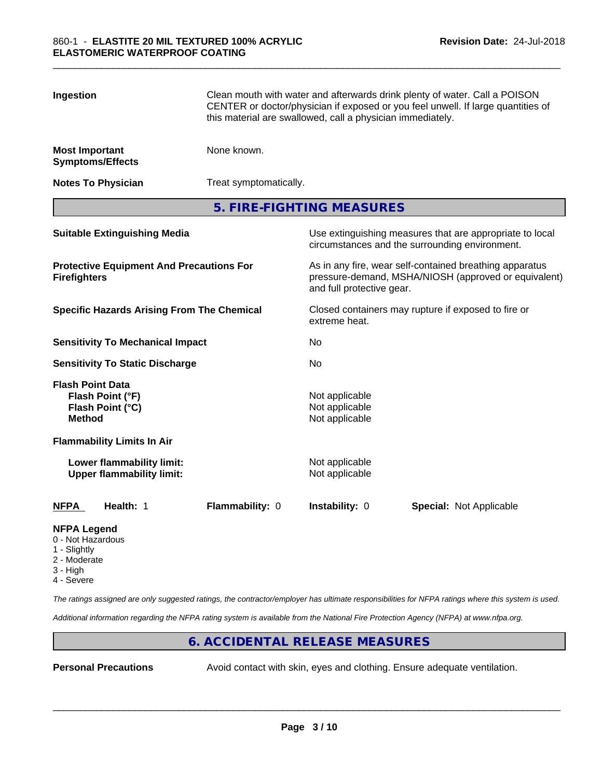| Ingestion                                                                                                                   |                                                               | Clean mouth with water and afterwards drink plenty of water. Call a POISON<br>CENTER or doctor/physician if exposed or you feel unwell. If large quantities of<br>this material are swallowed, call a physician immediately. |                                                     |                                                                                                            |  |
|-----------------------------------------------------------------------------------------------------------------------------|---------------------------------------------------------------|------------------------------------------------------------------------------------------------------------------------------------------------------------------------------------------------------------------------------|-----------------------------------------------------|------------------------------------------------------------------------------------------------------------|--|
| <b>Most Important</b><br><b>Symptoms/Effects</b>                                                                            |                                                               | None known.                                                                                                                                                                                                                  |                                                     |                                                                                                            |  |
| <b>Notes To Physician</b>                                                                                                   |                                                               | Treat symptomatically.                                                                                                                                                                                                       |                                                     |                                                                                                            |  |
|                                                                                                                             |                                                               |                                                                                                                                                                                                                              | 5. FIRE-FIGHTING MEASURES                           |                                                                                                            |  |
|                                                                                                                             | <b>Suitable Extinguishing Media</b>                           |                                                                                                                                                                                                                              |                                                     | Use extinguishing measures that are appropriate to local<br>circumstances and the surrounding environment. |  |
| <b>Protective Equipment And Precautions For</b><br><b>Firefighters</b><br><b>Specific Hazards Arising From The Chemical</b> |                                                               | As in any fire, wear self-contained breathing apparatus<br>pressure-demand, MSHA/NIOSH (approved or equivalent)<br>and full protective gear.                                                                                 |                                                     |                                                                                                            |  |
|                                                                                                                             |                                                               | extreme heat.                                                                                                                                                                                                                | Closed containers may rupture if exposed to fire or |                                                                                                            |  |
|                                                                                                                             | <b>Sensitivity To Mechanical Impact</b>                       |                                                                                                                                                                                                                              | No                                                  |                                                                                                            |  |
|                                                                                                                             | <b>Sensitivity To Static Discharge</b>                        |                                                                                                                                                                                                                              | No                                                  |                                                                                                            |  |
| <b>Flash Point Data</b><br>Flash Point (°F)<br>Flash Point (°C)<br><b>Method</b>                                            |                                                               |                                                                                                                                                                                                                              | Not applicable<br>Not applicable<br>Not applicable  |                                                                                                            |  |
|                                                                                                                             | <b>Flammability Limits In Air</b>                             |                                                                                                                                                                                                                              |                                                     |                                                                                                            |  |
|                                                                                                                             | Lower flammability limit:<br><b>Upper flammability limit:</b> |                                                                                                                                                                                                                              | Not applicable<br>Not applicable                    |                                                                                                            |  |
| NFPA                                                                                                                        | Health: 1                                                     | Flammability: 0                                                                                                                                                                                                              | <b>Instability: 0</b>                               | <b>Special: Not Applicable</b>                                                                             |  |
| NEDA Logand                                                                                                                 |                                                               |                                                                                                                                                                                                                              |                                                     |                                                                                                            |  |

#### **NFPA Legend**

- 0 Not Hazardous
- 1 Slightly
- 2 Moderate
- 3 High
- 4 Severe

*The ratings assigned are only suggested ratings, the contractor/employer has ultimate responsibilities for NFPA ratings where this system is used.*

*Additional information regarding the NFPA rating system is available from the National Fire Protection Agency (NFPA) at www.nfpa.org.*

# **6. ACCIDENTAL RELEASE MEASURES**

**Personal Precautions** Avoid contact with skin, eyes and clothing. Ensure adequate ventilation.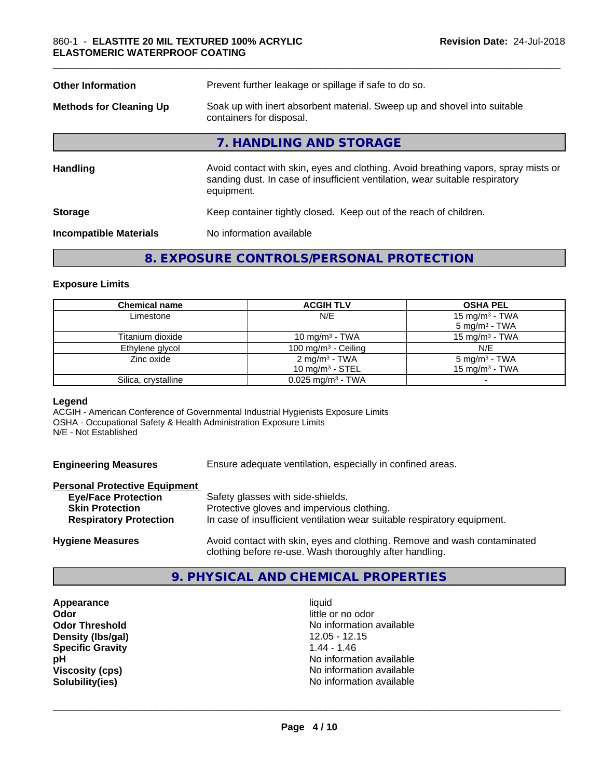| <b>Other Information</b>       | Prevent further leakage or spillage if safe to do so.                                                                                                                            |  |
|--------------------------------|----------------------------------------------------------------------------------------------------------------------------------------------------------------------------------|--|
| <b>Methods for Cleaning Up</b> | Soak up with inert absorbent material. Sweep up and shovel into suitable<br>containers for disposal.                                                                             |  |
|                                | 7. HANDLING AND STORAGE                                                                                                                                                          |  |
| <b>Handling</b>                | Avoid contact with skin, eyes and clothing. Avoid breathing vapors, spray mists or<br>sanding dust. In case of insufficient ventilation, wear suitable respiratory<br>equipment. |  |
| <b>Storage</b>                 | Keep container tightly closed. Keep out of the reach of children.                                                                                                                |  |
| <b>Incompatible Materials</b>  | No information available                                                                                                                                                         |  |

# **8. EXPOSURE CONTROLS/PERSONAL PROTECTION**

#### **Exposure Limits**

| <b>Chemical name</b> | <b>ACGIH TLV</b>                | <b>OSHA PEL</b>          |
|----------------------|---------------------------------|--------------------------|
| Limestone            | N/E                             | 15 mg/m $3$ - TWA        |
|                      |                                 | $5 \text{ mg/m}^3$ - TWA |
| Titanium dioxide     | 10 mg/m $3$ - TWA               | 15 mg/m $3$ - TWA        |
| Ethylene glycol      | 100 mg/m $3$ - Ceiling          | N/E                      |
| Zinc oxide           | 2 mg/m <sup>3</sup> - TWA       | $5 \text{ mg/m}^3$ - TWA |
|                      | 10 $mq/m3$ - STEL               | 15 mg/m $3$ - TWA        |
| Silica, crystalline  | $0.025$ mg/m <sup>3</sup> - TWA |                          |

#### **Legend**

ACGIH - American Conference of Governmental Industrial Hygienists Exposure Limits OSHA - Occupational Safety & Health Administration Exposure Limits N/E - Not Established

**Engineering Measures** Ensure adequate ventilation, especially in confined areas.

# **Personal Protective Equipment**

| <b>Eye/Face Protection</b>    | Safety glasses with side-shields.                                                                                     |
|-------------------------------|-----------------------------------------------------------------------------------------------------------------------|
| <b>Skin Protection</b>        | Protective gloves and impervious clothing.                                                                            |
| <b>Respiratory Protection</b> | In case of insufficient ventilation wear suitable respiratory equipment.                                              |
|                               | الرجاح والموجاج وجرحا والمجري الرجوح والمحامل والمتحارب المحارب وجريح والمتحارب المتحاول والمارات والمرارية والمرارية |

**Hygiene Measures** Avoid contact with skin, eyes and clothing. Remove and wash contaminated clothing before re-use. Wash thoroughly after handling.

# **9. PHYSICAL AND CHEMICAL PROPERTIES**

**Appearance** liquid **Odor** little or no odor **Density (Ibs/gal)** 12.05 - 12.05 - 12.05 - 12.05 - 12.05 - 12.05 - 12.05 - 12.05 - 12.05 - 12.05 - 12.05 - 12.05 - 12.05 - 12.05 - 12.05 - 12.05 - 12.05 - 12.05 - 12.05 - 12.05 - 12.05 - 12.05 - 12.05 - 12.05 - 12.05 - 12 **Specific Gravity** 

**Odor Threshold**<br> **Density (Ibs/gal)**<br> **Density (Ibs/gal)**<br> **No information available**<br>
12.05 - 12.15 **pH** No information available **Viscosity (cps)** No information available **Solubility(ies)** No information available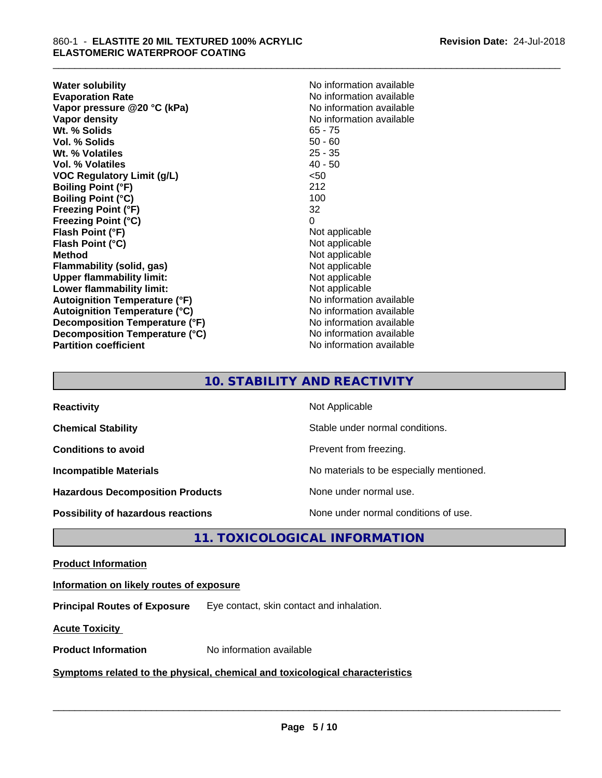**Water solubility**<br> **Evaporation Rate**<br> **Evaporation Rate**<br> **Evaporation Rate Vapor** pressure @20 °C (kPa) **Vapor density**<br> **We Solids**<br>
We Solid With the Solid Support of the Contract of the Contract of the Contract of the Contract of the Contract of the Contract of the Contract of the Contract of the Contract of the Contract Wt. % Solids **Vol. % Solids** 50 - 60 **Wt. % Volatiles** 25 - 35 **Vol. % Volatiles** 40 - 50 **VOC Regulatory Limit (g/L)** <50 **Boiling Point (°F)** 212 **Boiling Point (°C)** 100 **Freezing Point (°F)** 32 **Freezing Point (°C)** 0 **Flash Point (°F) Flash Point (°C)** Not applicable **Method**<br> **Flammability (solid, gas)**<br> **Example 2018** Not applicable **Flammability** (solid, gas) **Upper flammability limit:** Not applicable **Lower flammability limit:**<br> **Autoignition Temperature (°F)** Not applicable Not applicable **Autoignition Temperature (°F) Autoignition Temperature (°C)** No information available **Decomposition Temperature (°F)** No information available **Decomposition Temperature (°C)** No information available **Partition coefficient** No information available

No information available<br>No information available

\_\_\_\_\_\_\_\_\_\_\_\_\_\_\_\_\_\_\_\_\_\_\_\_\_\_\_\_\_\_\_\_\_\_\_\_\_\_\_\_\_\_\_\_\_\_\_\_\_\_\_\_\_\_\_\_\_\_\_\_\_\_\_\_\_\_\_\_\_\_\_\_\_\_\_\_\_\_\_\_\_\_\_\_\_\_\_\_\_\_\_\_\_

# **10. STABILITY AND REACTIVITY**

| <b>Reactivity</b>                       | Not Applicable                           |
|-----------------------------------------|------------------------------------------|
| <b>Chemical Stability</b>               | Stable under normal conditions.          |
| <b>Conditions to avoid</b>              | Prevent from freezing.                   |
| <b>Incompatible Materials</b>           | No materials to be especially mentioned. |
| <b>Hazardous Decomposition Products</b> | None under normal use.                   |
| Possibility of hazardous reactions      | None under normal conditions of use.     |

# **11. TOXICOLOGICAL INFORMATION**

#### **Product Information**

#### **Information on likely routes of exposure**

**Principal Routes of Exposure** Eye contact, skin contact and inhalation.

**Acute Toxicity** 

**Product Information** No information available

#### **Symptoms related to the physical,chemical and toxicological characteristics**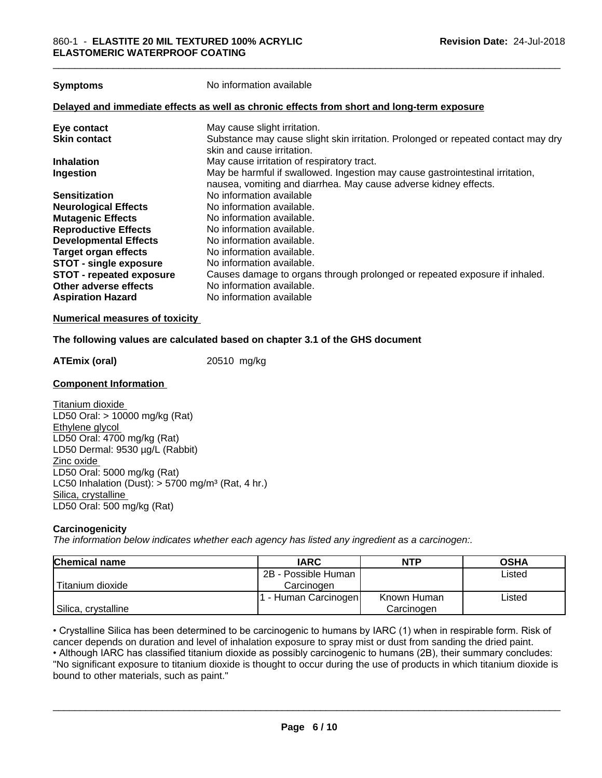**Symptoms** No information available

#### **Delayed and immediate effects as well as chronic effects from short and long-term exposure**

| May cause slight irritation.                                                      |
|-----------------------------------------------------------------------------------|
| Substance may cause slight skin irritation. Prolonged or repeated contact may dry |
| skin and cause irritation.                                                        |
| May cause irritation of respiratory tract.                                        |
| May be harmful if swallowed. Ingestion may cause gastrointestinal irritation,     |
| nausea, vomiting and diarrhea. May cause adverse kidney effects.                  |
| No information available                                                          |
| No information available.                                                         |
| No information available.                                                         |
| No information available.                                                         |
| No information available.                                                         |
| No information available.                                                         |
| No information available.                                                         |
| Causes damage to organs through prolonged or repeated exposure if inhaled.        |
| No information available.                                                         |
| No information available                                                          |
|                                                                                   |

#### **Numerical measures of toxicity**

#### **The following values are calculated based on chapter 3.1 of the GHS document**

**ATEmix (oral)** 20510 mg/kg

#### **Component Information**

Titanium dioxide LD50 Oral: > 10000 mg/kg (Rat) Ethylene glycol LD50 Oral: 4700 mg/kg (Rat) LD50 Dermal: 9530 µg/L (Rabbit) Zinc oxide LD50 Oral: 5000 mg/kg (Rat) LC50 Inhalation (Dust):  $> 5700$  mg/m<sup>3</sup> (Rat, 4 hr.) Silica, crystalline LD50 Oral: 500 mg/kg (Rat)

#### **Carcinogenicity**

*The information below indicateswhether each agency has listed any ingredient as a carcinogen:.*

| <b>Chemical name</b> | <b>IARC</b>         | <b>NTP</b>  | <b>OSHA</b> |
|----------------------|---------------------|-------------|-------------|
|                      | 2B - Possible Human |             | Listed      |
| Titanium dioxide     | Carcinogen          |             |             |
|                      | - Human Carcinogen  | Known Human | Listed      |
| Silica, crystalline  |                     | Carcinogen  |             |

cancer depends on duration and level of inhalation exposure to spray mist or dust from sanding the dried paint.

• Crystalline Silica has been determined to be carcinogenic to humans by IARC (1) when in respirable form. Risk of cancer depends on duration and level of inhalation exposure to spray mist or dust from sanding the dried pa • Although IARC has classified titanium dioxide as possibly carcinogenic to humans (2B), their summary concludes: "No significant exposure to titanium dioxide is thought to occur during the use of products in which titanium dioxide is bound to other materials, such as paint."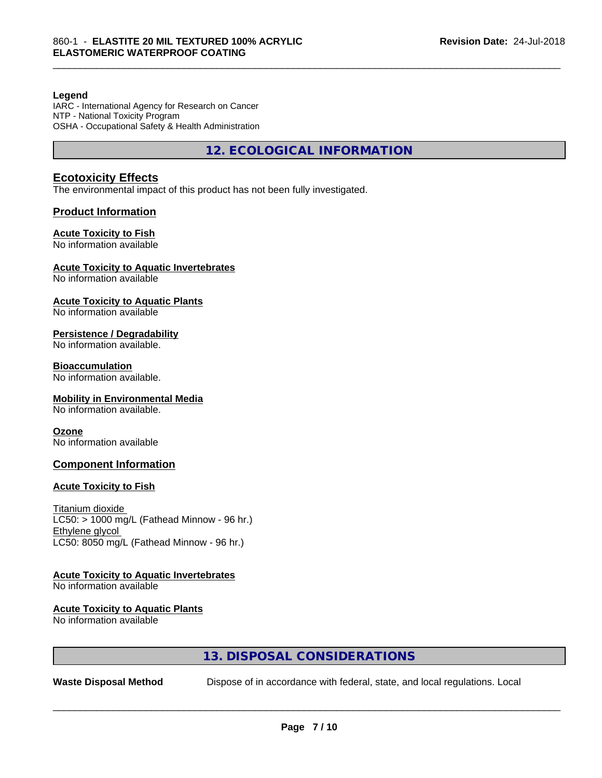#### **Legend**

IARC - International Agency for Research on Cancer NTP - National Toxicity Program OSHA - Occupational Safety & Health Administration

**12. ECOLOGICAL INFORMATION**

\_\_\_\_\_\_\_\_\_\_\_\_\_\_\_\_\_\_\_\_\_\_\_\_\_\_\_\_\_\_\_\_\_\_\_\_\_\_\_\_\_\_\_\_\_\_\_\_\_\_\_\_\_\_\_\_\_\_\_\_\_\_\_\_\_\_\_\_\_\_\_\_\_\_\_\_\_\_\_\_\_\_\_\_\_\_\_\_\_\_\_\_\_

#### **Ecotoxicity Effects**

The environmental impact of this product has not been fully investigated.

#### **Product Information**

#### **Acute Toxicity to Fish**

No information available

### **Acute Toxicity to Aquatic Invertebrates**

No information available

#### **Acute Toxicity to Aquatic Plants**

No information available

#### **Persistence / Degradability**

No information available.

#### **Bioaccumulation**

No information available.

#### **Mobility in Environmental Media**

No information available.

#### **Ozone**

No information available

#### **Component Information**

#### **Acute Toxicity to Fish**

Titanium dioxide  $LCS0:$  > 1000 mg/L (Fathead Minnow - 96 hr.) Ethylene glycol LC50: 8050 mg/L (Fathead Minnow - 96 hr.)

# **Acute Toxicity to Aquatic Invertebrates**

No information available

# **Acute Toxicity to Aquatic Plants**

No information available

# **13. DISPOSAL CONSIDERATIONS**

**Waste Disposal Method** Dispose of in accordance with federal, state, and local regulations. Local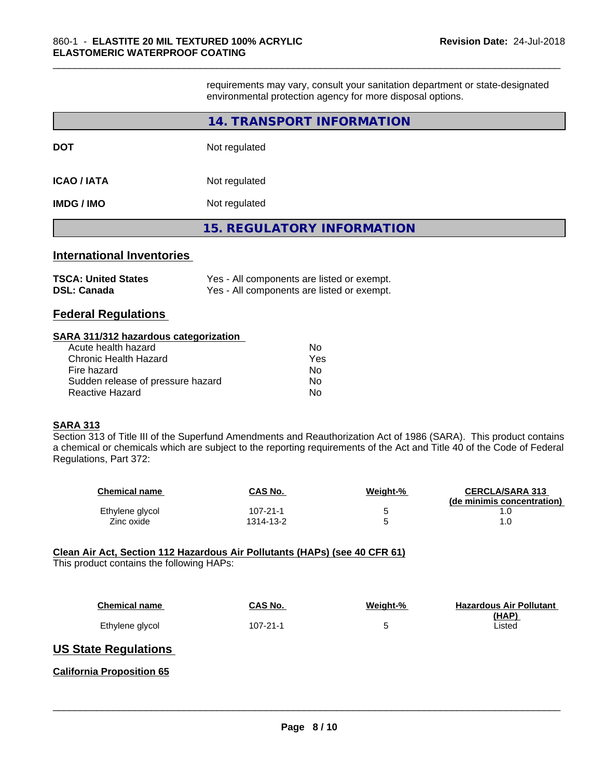requirements may vary, consult your sanitation department or state-designated environmental protection agency for more disposal options.

\_\_\_\_\_\_\_\_\_\_\_\_\_\_\_\_\_\_\_\_\_\_\_\_\_\_\_\_\_\_\_\_\_\_\_\_\_\_\_\_\_\_\_\_\_\_\_\_\_\_\_\_\_\_\_\_\_\_\_\_\_\_\_\_\_\_\_\_\_\_\_\_\_\_\_\_\_\_\_\_\_\_\_\_\_\_\_\_\_\_\_\_\_

|                   | 14. TRANSPORT INFORMATION         |
|-------------------|-----------------------------------|
| <b>DOT</b>        | Not regulated                     |
| ICAO / IATA       | Not regulated                     |
| <b>IMDG / IMO</b> | Not regulated                     |
|                   | <b>15. REGULATORY INFORMATION</b> |
| .                 |                                   |

#### **International Inventories**

| <b>TSCA: United States</b> | Yes - All components are listed or exempt. |
|----------------------------|--------------------------------------------|
| <b>DSL: Canada</b>         | Yes - All components are listed or exempt. |

### **Federal Regulations**

#### **SARA 311/312 hazardous categorization**

| Acute health hazard               | Nο  |
|-----------------------------------|-----|
| Chronic Health Hazard             | Yes |
| Fire hazard                       | Nο  |
| Sudden release of pressure hazard | Nο  |
| Reactive Hazard                   | N٥  |

#### **SARA 313**

Section 313 of Title III of the Superfund Amendments and Reauthorization Act of 1986 (SARA). This product contains a chemical or chemicals which are subject to the reporting requirements of the Act and Title 40 of the Code of Federal Regulations, Part 372:

| <b>Chemical name</b> | CAS No.        | Weight-% | <b>CERCLA/SARA 313</b><br>(de minimis concentration) |
|----------------------|----------------|----------|------------------------------------------------------|
| Ethylene glycol      | $107 - 21 - 1$ |          |                                                      |
| Zinc oxide           | 1314-13-2      |          |                                                      |

#### **Clean Air Act,Section 112 Hazardous Air Pollutants (HAPs) (see 40 CFR 61)**

This product contains the following HAPs:

| <b>Chemical name</b> | <b>CAS No.</b> | Weight-% | <b>Hazardous Air Pollutant</b> |
|----------------------|----------------|----------|--------------------------------|
|                      |                |          | (HAP)                          |
| Ethylene glycol      | 107-21-1       |          | ∟isted                         |

#### **US State Regulations**

#### **California Proposition 65**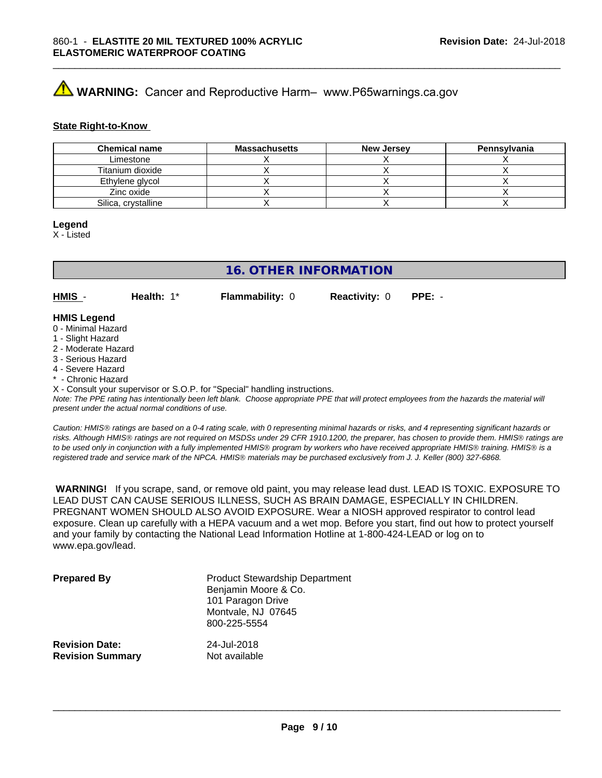# **AVIMARNING:** Cancer and Reproductive Harm– www.P65warnings.ca.gov

#### **State Right-to-Know**

| <b>Chemical name</b> | <b>Massachusetts</b> | <b>New Jersey</b> | Pennsylvania |
|----------------------|----------------------|-------------------|--------------|
| Limestone            |                      |                   |              |
| Titanium dioxide     |                      |                   |              |
| Ethylene glycol      |                      |                   |              |
| Zinc oxide           |                      |                   |              |
| Silica, crystalline  |                      |                   |              |

#### **Legend**

X - Listed

# **16. OTHER INFORMATION**

**HMIS** - **Health:** 1\* **Flammability:** 0 **Reactivity:** 0 **PPE:** -

\_\_\_\_\_\_\_\_\_\_\_\_\_\_\_\_\_\_\_\_\_\_\_\_\_\_\_\_\_\_\_\_\_\_\_\_\_\_\_\_\_\_\_\_\_\_\_\_\_\_\_\_\_\_\_\_\_\_\_\_\_\_\_\_\_\_\_\_\_\_\_\_\_\_\_\_\_\_\_\_\_\_\_\_\_\_\_\_\_\_\_\_\_

# **HMIS Legend**

- 0 Minimal Hazard
- 1 Slight Hazard
- 2 Moderate Hazard
- 3 Serious Hazard
- 4 Severe Hazard
- Chronic Hazard

X - Consult your supervisor or S.O.P. for "Special" handling instructions.

*Note: The PPE rating has intentionally been left blank. Choose appropriate PPE that will protect employees from the hazards the material will present under the actual normal conditions of use.*

*Caution: HMISÒ ratings are based on a 0-4 rating scale, with 0 representing minimal hazards or risks, and 4 representing significant hazards or risks. Although HMISÒ ratings are not required on MSDSs under 29 CFR 1910.1200, the preparer, has chosen to provide them. HMISÒ ratings are to be used only in conjunction with a fully implemented HMISÒ program by workers who have received appropriate HMISÒ training. HMISÒ is a registered trade and service mark of the NPCA. HMISÒ materials may be purchased exclusively from J. J. Keller (800) 327-6868.*

 **WARNING!** If you scrape, sand, or remove old paint, you may release lead dust. LEAD IS TOXIC. EXPOSURE TO LEAD DUST CAN CAUSE SERIOUS ILLNESS, SUCH AS BRAIN DAMAGE, ESPECIALLY IN CHILDREN. PREGNANT WOMEN SHOULD ALSO AVOID EXPOSURE.Wear a NIOSH approved respirator to control lead exposure. Clean up carefully with a HEPA vacuum and a wet mop. Before you start, find out how to protect yourself and your family by contacting the National Lead Information Hotline at 1-800-424-LEAD or log on to www.epa.gov/lead.

| <b>Prepared By</b>      | <b>Product Stewardship Department</b><br>Benjamin Moore & Co.<br>101 Paragon Drive<br>Montvale, NJ 07645<br>800-225-5554 |
|-------------------------|--------------------------------------------------------------------------------------------------------------------------|
| <b>Revision Date:</b>   | 24-Jul-2018                                                                                                              |
| <b>Revision Summary</b> | Not available                                                                                                            |